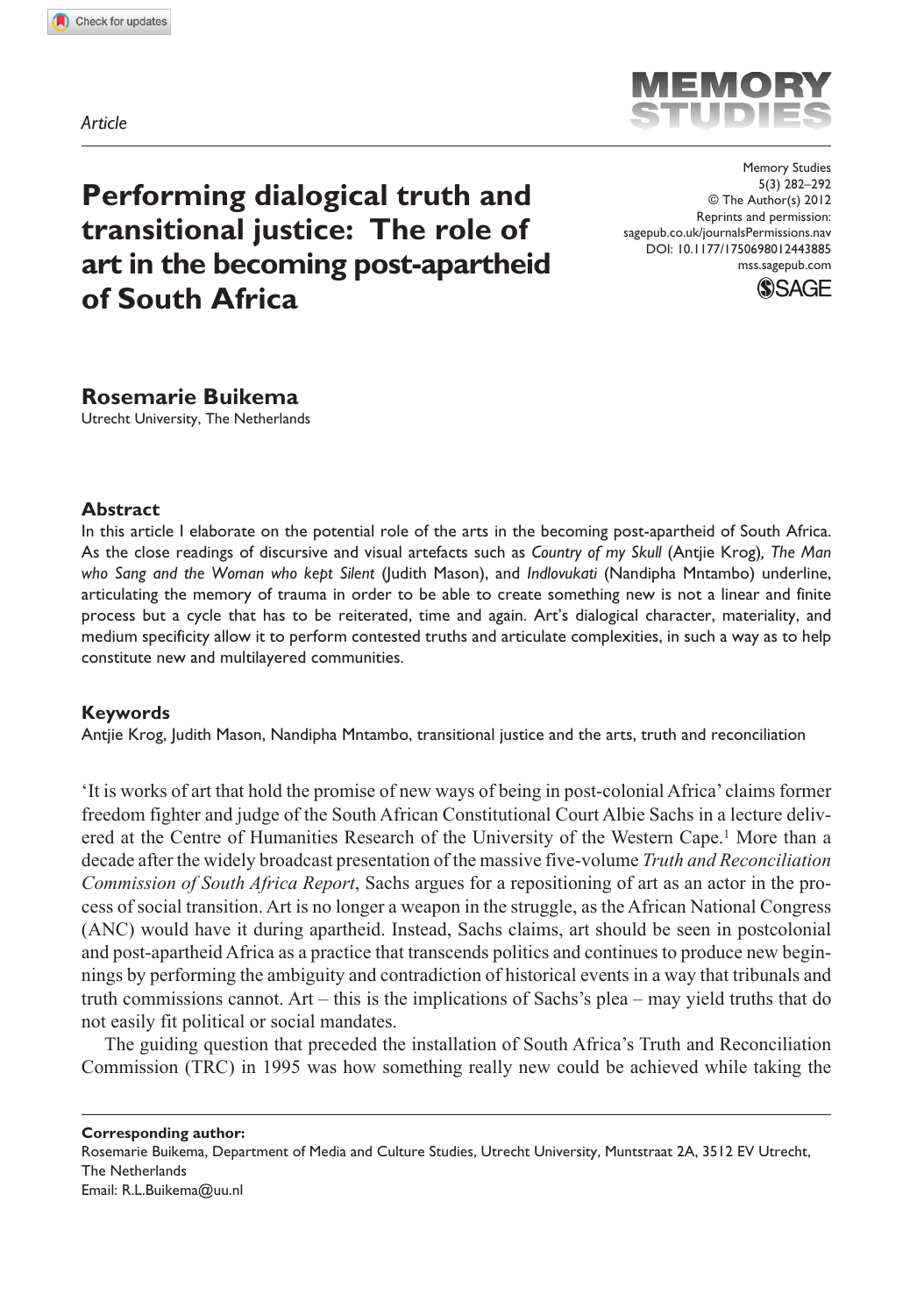*Article*



# **Performing dialogical truth and transitional justice: The role of art in the becoming post-apartheid of South Africa**

Memory Studies 5(3) 282–292 © The Author(s) 2012 Reprints and permission: sagepub.co.uk/journalsPermissions.nav DOI: 10.1177/1750698012443885 mss.sagepub.com



# **Rosemarie Buikema**

Utrecht University, The Netherlands

## **Abstract**

In this article I elaborate on the potential role of the arts in the becoming post-apartheid of South Africa. As the close readings of discursive and visual artefacts such as *Country of my Skull* (Antjie Krog)*, The Man who Sang and the Woman who kept Silent* (Judith Mason), and *Indlovukati* (Nandipha Mntambo) underline, articulating the memory of trauma in order to be able to create something new is not a linear and finite process but a cycle that has to be reiterated, time and again. Art's dialogical character, materiality, and medium specificity allow it to perform contested truths and articulate complexities, in such a way as to help constitute new and multilayered communities.

## **Keywords**

Antjie Krog, Judith Mason, Nandipha Mntambo, transitional justice and the arts, truth and reconciliation

'It is works of art that hold the promise of new ways of being in post-colonial Africa' claims former freedom fighter and judge of the South African Constitutional Court Albie Sachs in a lecture delivered at the Centre of Humanities Research of the University of the Western Cape.<sup>1</sup> More than a decade after the widely broadcast presentation of the massive five-volume *Truth and Reconciliation Commission of South Africa Report*, Sachs argues for a repositioning of art as an actor in the process of social transition. Art is no longer a weapon in the struggle, as the African National Congress (ANC) would have it during apartheid. Instead, Sachs claims, art should be seen in postcolonial and post-apartheid Africa as a practice that transcends politics and continues to produce new beginnings by performing the ambiguity and contradiction of historical events in a way that tribunals and truth commissions cannot. Art – this is the implications of Sachs's plea – may yield truths that do not easily fit political or social mandates.

The guiding question that preceded the installation of South Africa's Truth and Reconciliation Commission (TRC) in 1995 was how something really new could be achieved while taking the

**Corresponding author:**

Rosemarie Buikema, Department of Media and Culture Studies, Utrecht University, Muntstraat 2A, 3512 EV Utrecht, The Netherlands Email: R.L.Buikema@uu.nl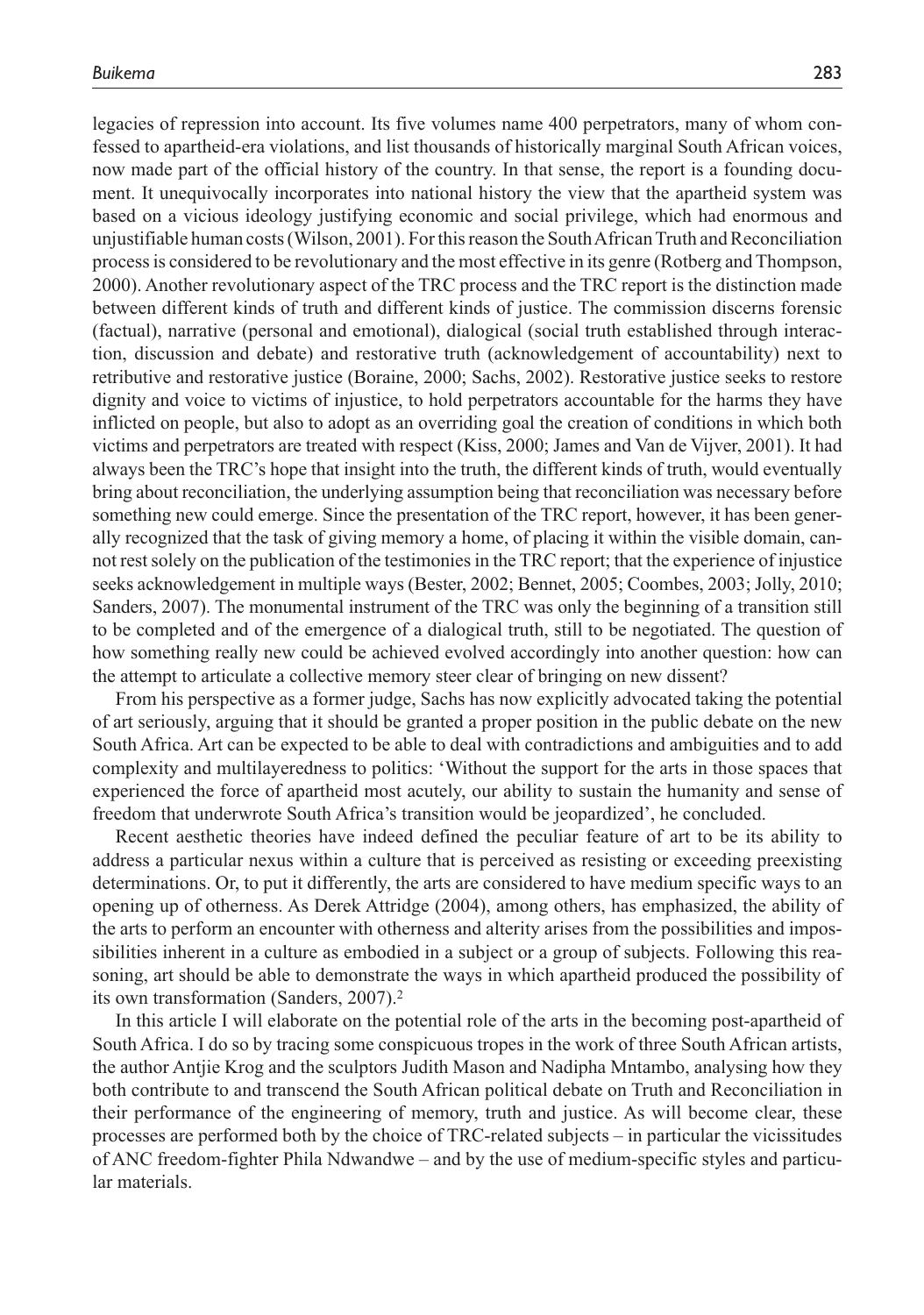legacies of repression into account. Its five volumes name 400 perpetrators, many of whom confessed to apartheid-era violations, and list thousands of historically marginal South African voices, now made part of the official history of the country. In that sense, the report is a founding document. It unequivocally incorporates into national history the view that the apartheid system was based on a vicious ideology justifying economic and social privilege, which had enormous and unjustifiable human costs (Wilson, 2001). For this reason the South African Truth and Reconciliation process is considered to be revolutionary and the most effective in its genre (Rotberg and Thompson, 2000). Another revolutionary aspect of the TRC process and the TRC report is the distinction made between different kinds of truth and different kinds of justice. The commission discerns forensic (factual), narrative (personal and emotional), dialogical (social truth established through interaction, discussion and debate) and restorative truth (acknowledgement of accountability) next to retributive and restorative justice (Boraine, 2000; Sachs, 2002). Restorative justice seeks to restore dignity and voice to victims of injustice, to hold perpetrators accountable for the harms they have inflicted on people, but also to adopt as an overriding goal the creation of conditions in which both victims and perpetrators are treated with respect (Kiss, 2000; James and Van de Vijver, 2001). It had always been the TRC's hope that insight into the truth, the different kinds of truth, would eventually bring about reconciliation, the underlying assumption being that reconciliation was necessary before something new could emerge. Since the presentation of the TRC report, however, it has been generally recognized that the task of giving memory a home, of placing it within the visible domain, cannot rest solely on the publication of the testimonies in the TRC report; that the experience of injustice seeks acknowledgement in multiple ways (Bester, 2002; Bennet, 2005; Coombes, 2003; Jolly, 2010; Sanders, 2007). The monumental instrument of the TRC was only the beginning of a transition still to be completed and of the emergence of a dialogical truth, still to be negotiated. The question of how something really new could be achieved evolved accordingly into another question: how can the attempt to articulate a collective memory steer clear of bringing on new dissent?

From his perspective as a former judge, Sachs has now explicitly advocated taking the potential of art seriously, arguing that it should be granted a proper position in the public debate on the new South Africa. Art can be expected to be able to deal with contradictions and ambiguities and to add complexity and multilayeredness to politics: 'Without the support for the arts in those spaces that experienced the force of apartheid most acutely, our ability to sustain the humanity and sense of freedom that underwrote South Africa's transition would be jeopardized', he concluded.

Recent aesthetic theories have indeed defined the peculiar feature of art to be its ability to address a particular nexus within a culture that is perceived as resisting or exceeding preexisting determinations. Or, to put it differently, the arts are considered to have medium specific ways to an opening up of otherness. As Derek Attridge (2004), among others, has emphasized, the ability of the arts to perform an encounter with otherness and alterity arises from the possibilities and impossibilities inherent in a culture as embodied in a subject or a group of subjects. Following this reasoning, art should be able to demonstrate the ways in which apartheid produced the possibility of its own transformation (Sanders, 2007).2

In this article I will elaborate on the potential role of the arts in the becoming post-apartheid of South Africa. I do so by tracing some conspicuous tropes in the work of three South African artists, the author Antjie Krog and the sculptors Judith Mason and Nadipha Mntambo, analysing how they both contribute to and transcend the South African political debate on Truth and Reconciliation in their performance of the engineering of memory, truth and justice. As will become clear, these processes are performed both by the choice of TRC-related subjects – in particular the vicissitudes of ANC freedom-fighter Phila Ndwandwe – and by the use of medium-specific styles and particular materials.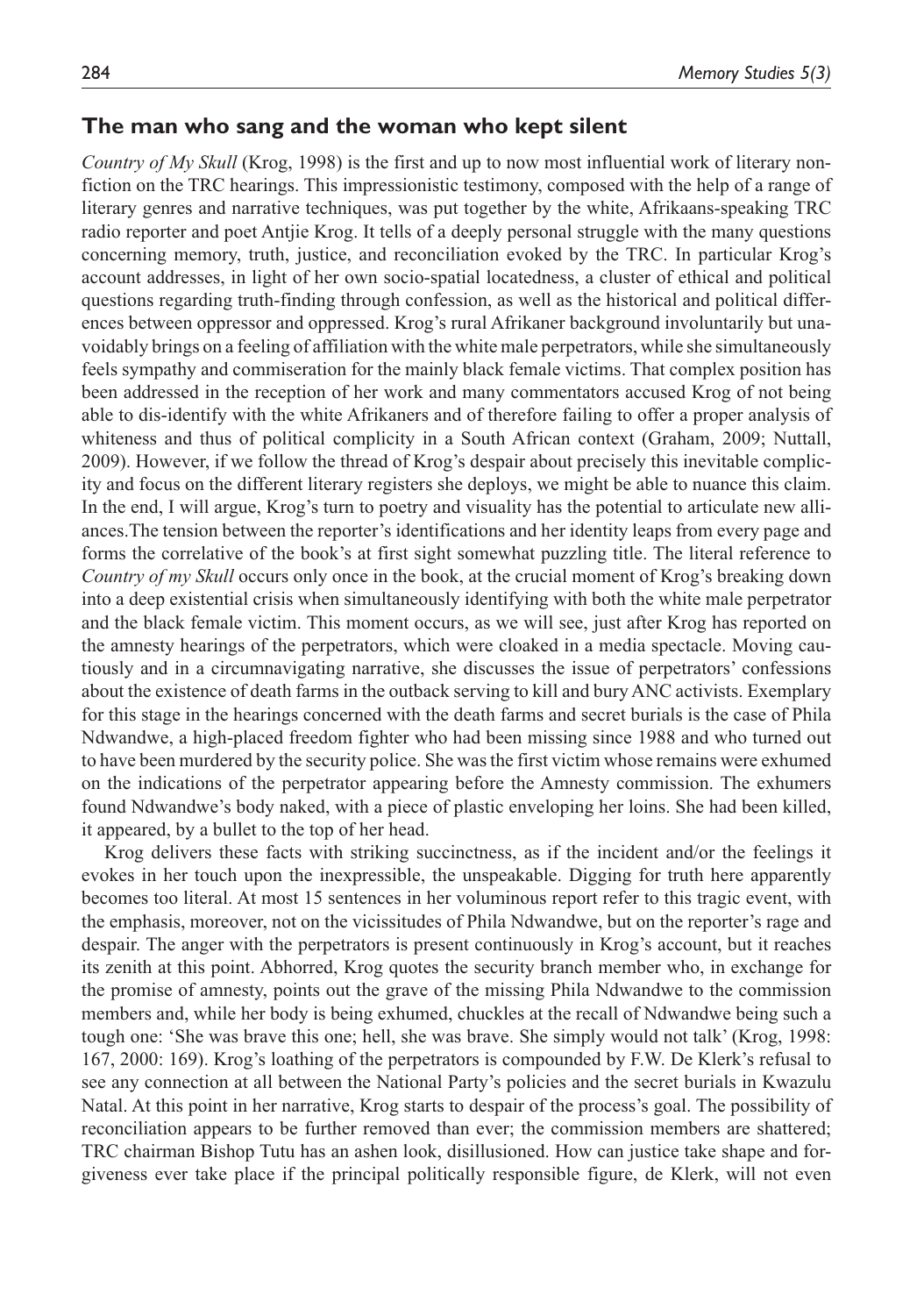## **The man who sang and the woman who kept silent**

*Country of My Skull* (Krog, 1998) is the first and up to now most influential work of literary nonfiction on the TRC hearings. This impressionistic testimony, composed with the help of a range of literary genres and narrative techniques, was put together by the white, Afrikaans-speaking TRC radio reporter and poet Antjie Krog. It tells of a deeply personal struggle with the many questions concerning memory, truth, justice, and reconciliation evoked by the TRC. In particular Krog's account addresses, in light of her own socio-spatial locatedness, a cluster of ethical and political questions regarding truth-finding through confession, as well as the historical and political differences between oppressor and oppressed. Krog's rural Afrikaner background involuntarily but unavoidably brings on a feeling of affiliation with the white male perpetrators, while she simultaneously feels sympathy and commiseration for the mainly black female victims. That complex position has been addressed in the reception of her work and many commentators accused Krog of not being able to dis-identify with the white Afrikaners and of therefore failing to offer a proper analysis of whiteness and thus of political complicity in a South African context (Graham, 2009; Nuttall, 2009). However, if we follow the thread of Krog's despair about precisely this inevitable complicity and focus on the different literary registers she deploys, we might be able to nuance this claim. In the end, I will argue, Krog's turn to poetry and visuality has the potential to articulate new alliances.The tension between the reporter's identifications and her identity leaps from every page and forms the correlative of the book's at first sight somewhat puzzling title. The literal reference to *Country of my Skull* occurs only once in the book, at the crucial moment of Krog's breaking down into a deep existential crisis when simultaneously identifying with both the white male perpetrator and the black female victim. This moment occurs, as we will see, just after Krog has reported on the amnesty hearings of the perpetrators, which were cloaked in a media spectacle. Moving cautiously and in a circumnavigating narrative, she discusses the issue of perpetrators' confessions about the existence of death farms in the outback serving to kill and bury ANC activists. Exemplary for this stage in the hearings concerned with the death farms and secret burials is the case of Phila Ndwandwe, a high-placed freedom fighter who had been missing since 1988 and who turned out to have been murdered by the security police. She was the first victim whose remains were exhumed on the indications of the perpetrator appearing before the Amnesty commission. The exhumers found Ndwandwe's body naked, with a piece of plastic enveloping her loins. She had been killed, it appeared, by a bullet to the top of her head.

Krog delivers these facts with striking succinctness, as if the incident and/or the feelings it evokes in her touch upon the inexpressible, the unspeakable. Digging for truth here apparently becomes too literal. At most 15 sentences in her voluminous report refer to this tragic event, with the emphasis, moreover, not on the vicissitudes of Phila Ndwandwe, but on the reporter's rage and despair. The anger with the perpetrators is present continuously in Krog's account, but it reaches its zenith at this point. Abhorred, Krog quotes the security branch member who, in exchange for the promise of amnesty, points out the grave of the missing Phila Ndwandwe to the commission members and, while her body is being exhumed, chuckles at the recall of Ndwandwe being such a tough one: 'She was brave this one; hell, she was brave. She simply would not talk' (Krog, 1998: 167, 2000: 169). Krog's loathing of the perpetrators is compounded by F.W. De Klerk's refusal to see any connection at all between the National Party's policies and the secret burials in Kwazulu Natal. At this point in her narrative, Krog starts to despair of the process's goal. The possibility of reconciliation appears to be further removed than ever; the commission members are shattered; TRC chairman Bishop Tutu has an ashen look, disillusioned. How can justice take shape and forgiveness ever take place if the principal politically responsible figure, de Klerk, will not even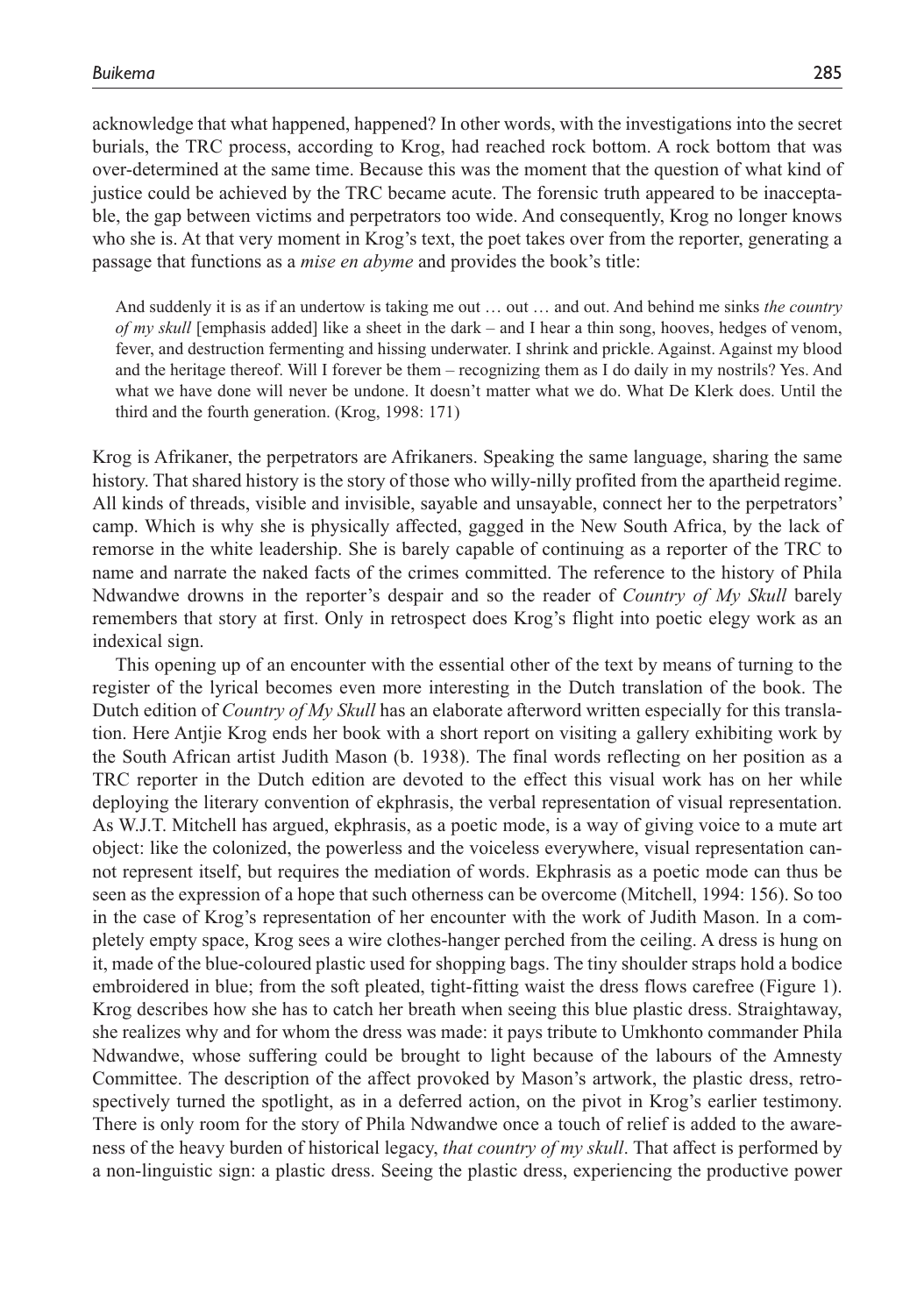acknowledge that what happened, happened? In other words, with the investigations into the secret burials, the TRC process, according to Krog, had reached rock bottom. A rock bottom that was over-determined at the same time. Because this was the moment that the question of what kind of justice could be achieved by the TRC became acute. The forensic truth appeared to be inacceptable, the gap between victims and perpetrators too wide. And consequently, Krog no longer knows who she is. At that very moment in Krog's text, the poet takes over from the reporter, generating a passage that functions as a *mise en abyme* and provides the book's title:

And suddenly it is as if an undertow is taking me out … out … and out. And behind me sinks *the country of my skull* [emphasis added] like a sheet in the dark – and I hear a thin song, hooves, hedges of venom, fever, and destruction fermenting and hissing underwater. I shrink and prickle. Against. Against my blood and the heritage thereof. Will I forever be them – recognizing them as I do daily in my nostrils? Yes. And what we have done will never be undone. It doesn't matter what we do. What De Klerk does. Until the third and the fourth generation. (Krog, 1998: 171)

Krog is Afrikaner, the perpetrators are Afrikaners. Speaking the same language, sharing the same history. That shared history is the story of those who willy-nilly profited from the apartheid regime. All kinds of threads, visible and invisible, sayable and unsayable, connect her to the perpetrators' camp. Which is why she is physically affected, gagged in the New South Africa, by the lack of remorse in the white leadership. She is barely capable of continuing as a reporter of the TRC to name and narrate the naked facts of the crimes committed. The reference to the history of Phila Ndwandwe drowns in the reporter's despair and so the reader of *Country of My Skull* barely remembers that story at first. Only in retrospect does Krog's flight into poetic elegy work as an indexical sign.

This opening up of an encounter with the essential other of the text by means of turning to the register of the lyrical becomes even more interesting in the Dutch translation of the book. The Dutch edition of *Country of My Skull* has an elaborate afterword written especially for this translation. Here Antjie Krog ends her book with a short report on visiting a gallery exhibiting work by the South African artist Judith Mason (b. 1938). The final words reflecting on her position as a TRC reporter in the Dutch edition are devoted to the effect this visual work has on her while deploying the literary convention of ekphrasis, the verbal representation of visual representation. As W.J.T. Mitchell has argued, ekphrasis, as a poetic mode, is a way of giving voice to a mute art object: like the colonized, the powerless and the voiceless everywhere, visual representation cannot represent itself, but requires the mediation of words. Ekphrasis as a poetic mode can thus be seen as the expression of a hope that such otherness can be overcome (Mitchell, 1994: 156). So too in the case of Krog's representation of her encounter with the work of Judith Mason. In a completely empty space, Krog sees a wire clothes-hanger perched from the ceiling. A dress is hung on it, made of the blue-coloured plastic used for shopping bags. The tiny shoulder straps hold a bodice embroidered in blue; from the soft pleated, tight-fitting waist the dress flows carefree (Figure 1). Krog describes how she has to catch her breath when seeing this blue plastic dress. Straightaway, she realizes why and for whom the dress was made: it pays tribute to Umkhonto commander Phila Ndwandwe, whose suffering could be brought to light because of the labours of the Amnesty Committee. The description of the affect provoked by Mason's artwork, the plastic dress, retrospectively turned the spotlight, as in a deferred action, on the pivot in Krog's earlier testimony. There is only room for the story of Phila Ndwandwe once a touch of relief is added to the awareness of the heavy burden of historical legacy, *that country of my skull*. That affect is performed by a non-linguistic sign: a plastic dress. Seeing the plastic dress, experiencing the productive power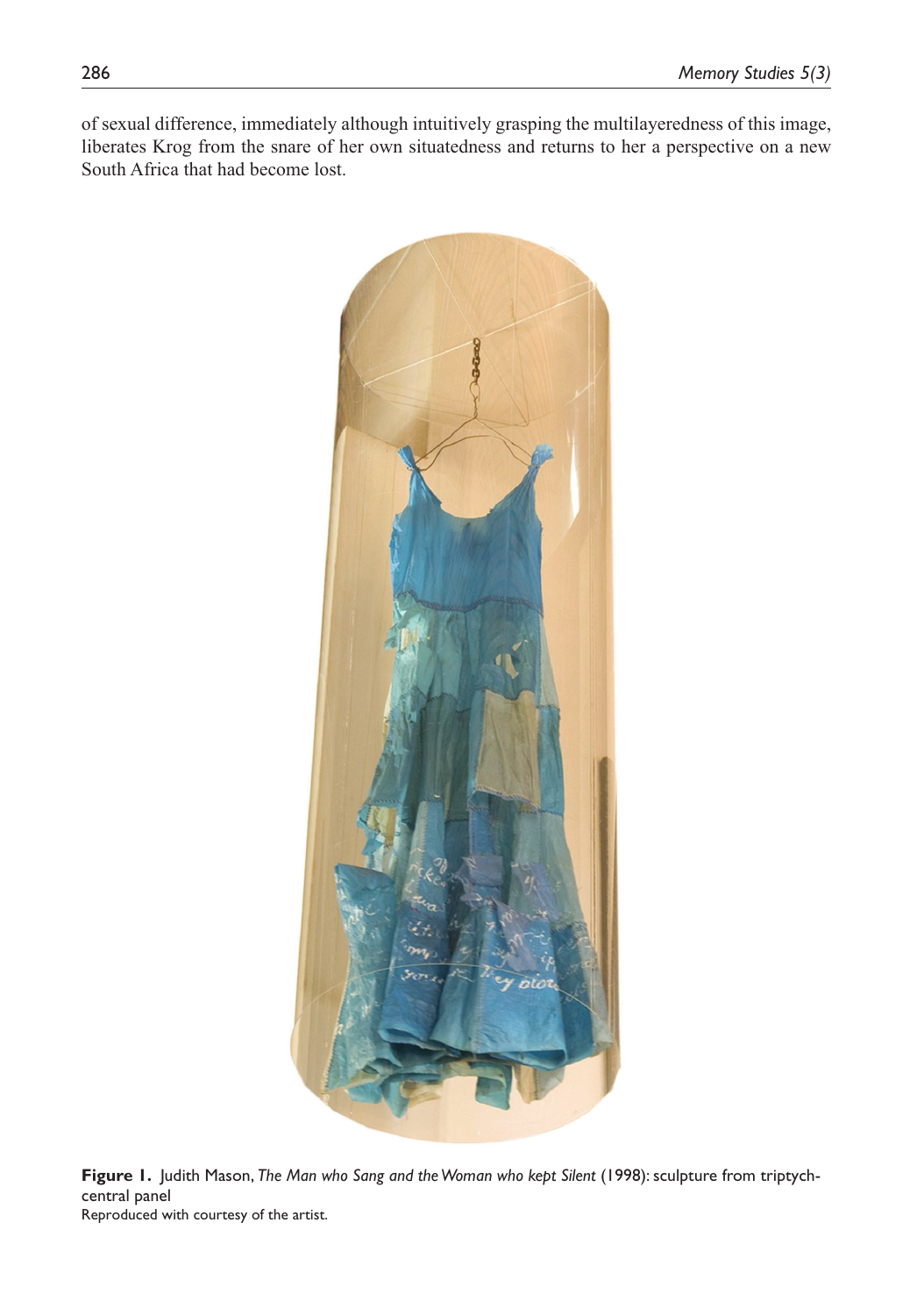of sexual difference, immediately although intuitively grasping the multilayeredness of this image, liberates Krog from the snare of her own situatedness and returns to her a perspective on a new South Africa that had become lost.



**Figure 1.** Judith Mason, *The Man who Sang and the Woman who kept Silent* (1998): sculpture from triptychcentral panel Reproduced with courtesy of the artist.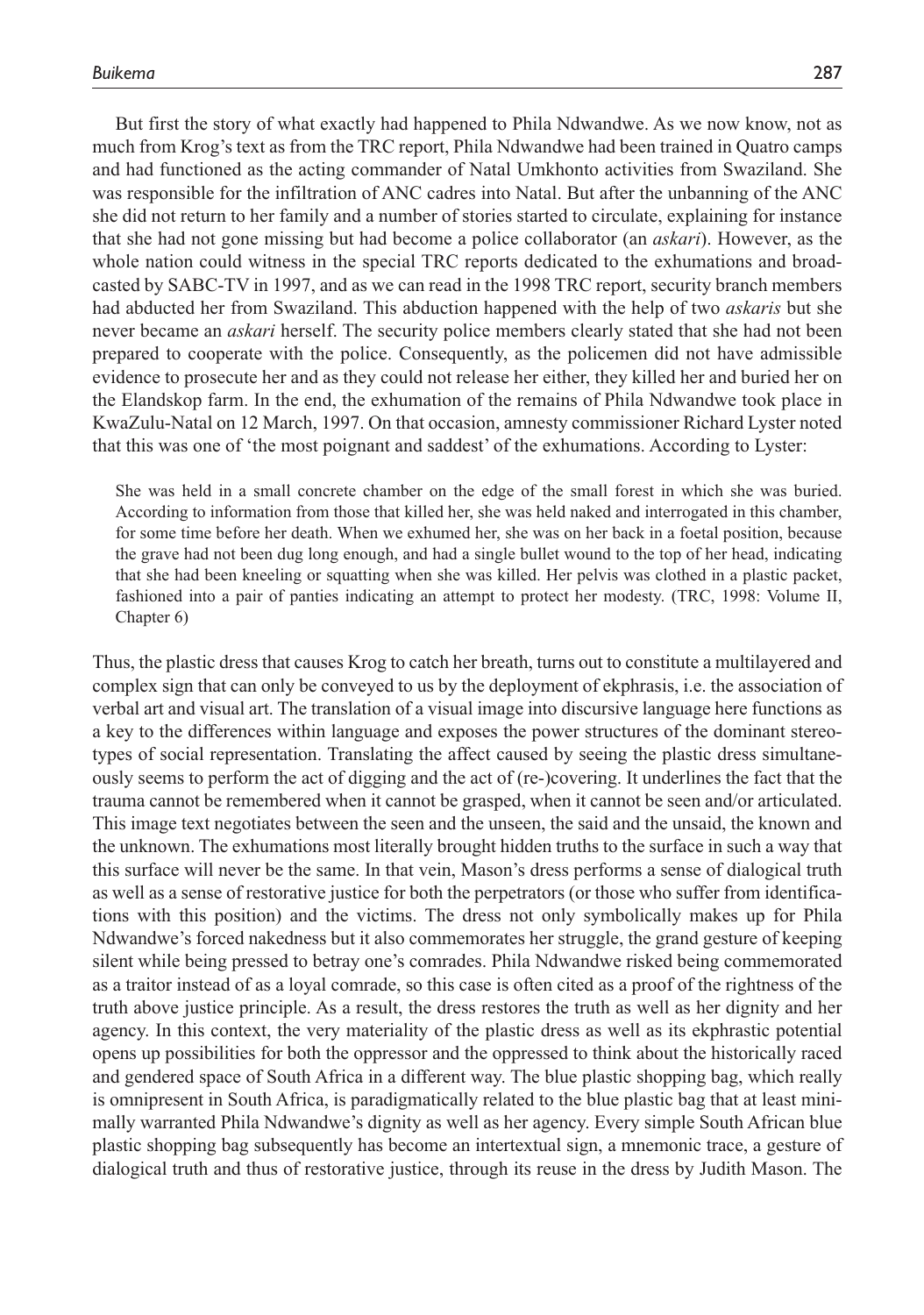But first the story of what exactly had happened to Phila Ndwandwe. As we now know, not as much from Krog's text as from the TRC report, Phila Ndwandwe had been trained in Quatro camps and had functioned as the acting commander of Natal Umkhonto activities from Swaziland. She was responsible for the infiltration of ANC cadres into Natal. But after the unbanning of the ANC she did not return to her family and a number of stories started to circulate, explaining for instance that she had not gone missing but had become a police collaborator (an *askari*). However, as the whole nation could witness in the special TRC reports dedicated to the exhumations and broadcasted by SABC-TV in 1997, and as we can read in the 1998 TRC report, security branch members had abducted her from Swaziland. This abduction happened with the help of two *askaris* but she never became an *askari* herself. The security police members clearly stated that she had not been prepared to cooperate with the police. Consequently, as the policemen did not have admissible evidence to prosecute her and as they could not release her either, they killed her and buried her on the Elandskop farm. In the end, the exhumation of the remains of Phila Ndwandwe took place in KwaZulu-Natal on 12 March, 1997. On that occasion, amnesty commissioner Richard Lyster noted that this was one of 'the most poignant and saddest' of the exhumations. According to Lyster:

She was held in a small concrete chamber on the edge of the small forest in which she was buried. According to information from those that killed her, she was held naked and interrogated in this chamber, for some time before her death. When we exhumed her, she was on her back in a foetal position, because the grave had not been dug long enough, and had a single bullet wound to the top of her head, indicating that she had been kneeling or squatting when she was killed. Her pelvis was clothed in a plastic packet, fashioned into a pair of panties indicating an attempt to protect her modesty. (TRC, 1998: Volume II, Chapter 6)

Thus, the plastic dress that causes Krog to catch her breath, turns out to constitute a multilayered and complex sign that can only be conveyed to us by the deployment of ekphrasis, i.e. the association of verbal art and visual art. The translation of a visual image into discursive language here functions as a key to the differences within language and exposes the power structures of the dominant stereotypes of social representation. Translating the affect caused by seeing the plastic dress simultaneously seems to perform the act of digging and the act of (re-)covering. It underlines the fact that the trauma cannot be remembered when it cannot be grasped, when it cannot be seen and/or articulated. This image text negotiates between the seen and the unseen, the said and the unsaid, the known and the unknown. The exhumations most literally brought hidden truths to the surface in such a way that this surface will never be the same. In that vein, Mason's dress performs a sense of dialogical truth as well as a sense of restorative justice for both the perpetrators (or those who suffer from identifications with this position) and the victims. The dress not only symbolically makes up for Phila Ndwandwe's forced nakedness but it also commemorates her struggle, the grand gesture of keeping silent while being pressed to betray one's comrades. Phila Ndwandwe risked being commemorated as a traitor instead of as a loyal comrade, so this case is often cited as a proof of the rightness of the truth above justice principle. As a result, the dress restores the truth as well as her dignity and her agency. In this context, the very materiality of the plastic dress as well as its ekphrastic potential opens up possibilities for both the oppressor and the oppressed to think about the historically raced and gendered space of South Africa in a different way. The blue plastic shopping bag, which really is omnipresent in South Africa, is paradigmatically related to the blue plastic bag that at least minimally warranted Phila Ndwandwe's dignity as well as her agency. Every simple South African blue plastic shopping bag subsequently has become an intertextual sign, a mnemonic trace, a gesture of dialogical truth and thus of restorative justice, through its reuse in the dress by Judith Mason. The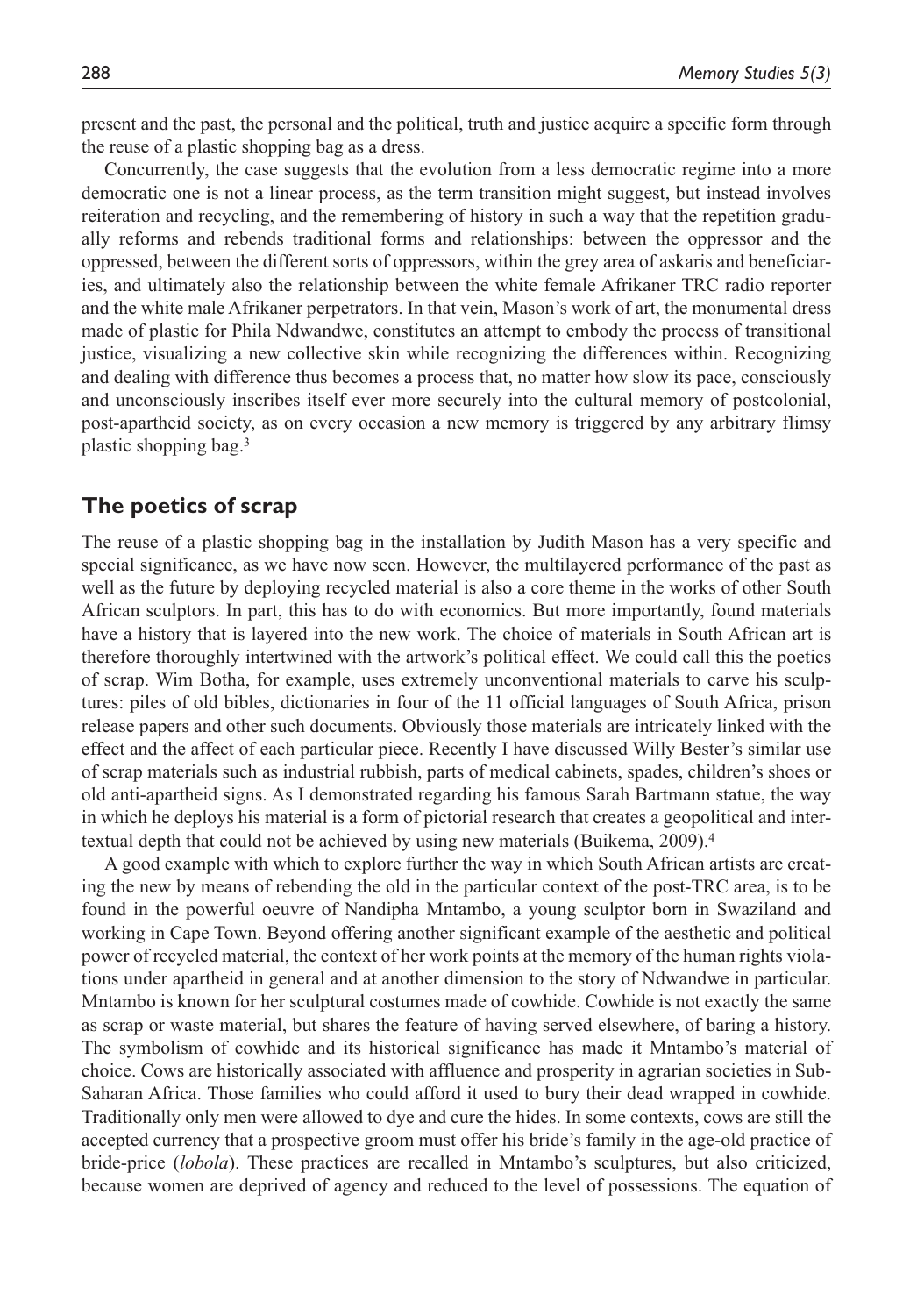present and the past, the personal and the political, truth and justice acquire a specific form through the reuse of a plastic shopping bag as a dress.

Concurrently, the case suggests that the evolution from a less democratic regime into a more democratic one is not a linear process, as the term transition might suggest, but instead involves reiteration and recycling, and the remembering of history in such a way that the repetition gradually reforms and rebends traditional forms and relationships: between the oppressor and the oppressed, between the different sorts of oppressors, within the grey area of askaris and beneficiaries, and ultimately also the relationship between the white female Afrikaner TRC radio reporter and the white male Afrikaner perpetrators. In that vein, Mason's work of art, the monumental dress made of plastic for Phila Ndwandwe, constitutes an attempt to embody the process of transitional justice, visualizing a new collective skin while recognizing the differences within. Recognizing and dealing with difference thus becomes a process that, no matter how slow its pace, consciously and unconsciously inscribes itself ever more securely into the cultural memory of postcolonial, post-apartheid society, as on every occasion a new memory is triggered by any arbitrary flimsy plastic shopping bag.3

# **The poetics of scrap**

The reuse of a plastic shopping bag in the installation by Judith Mason has a very specific and special significance, as we have now seen. However, the multilayered performance of the past as well as the future by deploying recycled material is also a core theme in the works of other South African sculptors. In part, this has to do with economics. But more importantly, found materials have a history that is layered into the new work. The choice of materials in South African art is therefore thoroughly intertwined with the artwork's political effect. We could call this the poetics of scrap. Wim Botha, for example, uses extremely unconventional materials to carve his sculptures: piles of old bibles, dictionaries in four of the 11 official languages of South Africa, prison release papers and other such documents. Obviously those materials are intricately linked with the effect and the affect of each particular piece. Recently I have discussed Willy Bester's similar use of scrap materials such as industrial rubbish, parts of medical cabinets, spades, children's shoes or old anti-apartheid signs. As I demonstrated regarding his famous Sarah Bartmann statue, the way in which he deploys his material is a form of pictorial research that creates a geopolitical and intertextual depth that could not be achieved by using new materials (Buikema, 2009).4

A good example with which to explore further the way in which South African artists are creating the new by means of rebending the old in the particular context of the post-TRC area, is to be found in the powerful oeuvre of Nandipha Mntambo, a young sculptor born in Swaziland and working in Cape Town. Beyond offering another significant example of the aesthetic and political power of recycled material, the context of her work points at the memory of the human rights violations under apartheid in general and at another dimension to the story of Ndwandwe in particular. Mntambo is known for her sculptural costumes made of cowhide. Cowhide is not exactly the same as scrap or waste material, but shares the feature of having served elsewhere, of baring a history. The symbolism of cowhide and its historical significance has made it Mntambo's material of choice. Cows are historically associated with affluence and prosperity in agrarian societies in Sub-Saharan Africa. Those families who could afford it used to bury their dead wrapped in cowhide. Traditionally only men were allowed to dye and cure the hides. In some contexts, cows are still the accepted currency that a prospective groom must offer his bride's family in the age-old practice of bride-price (*lobola*). These practices are recalled in Mntambo's sculptures, but also criticized, because women are deprived of agency and reduced to the level of possessions. The equation of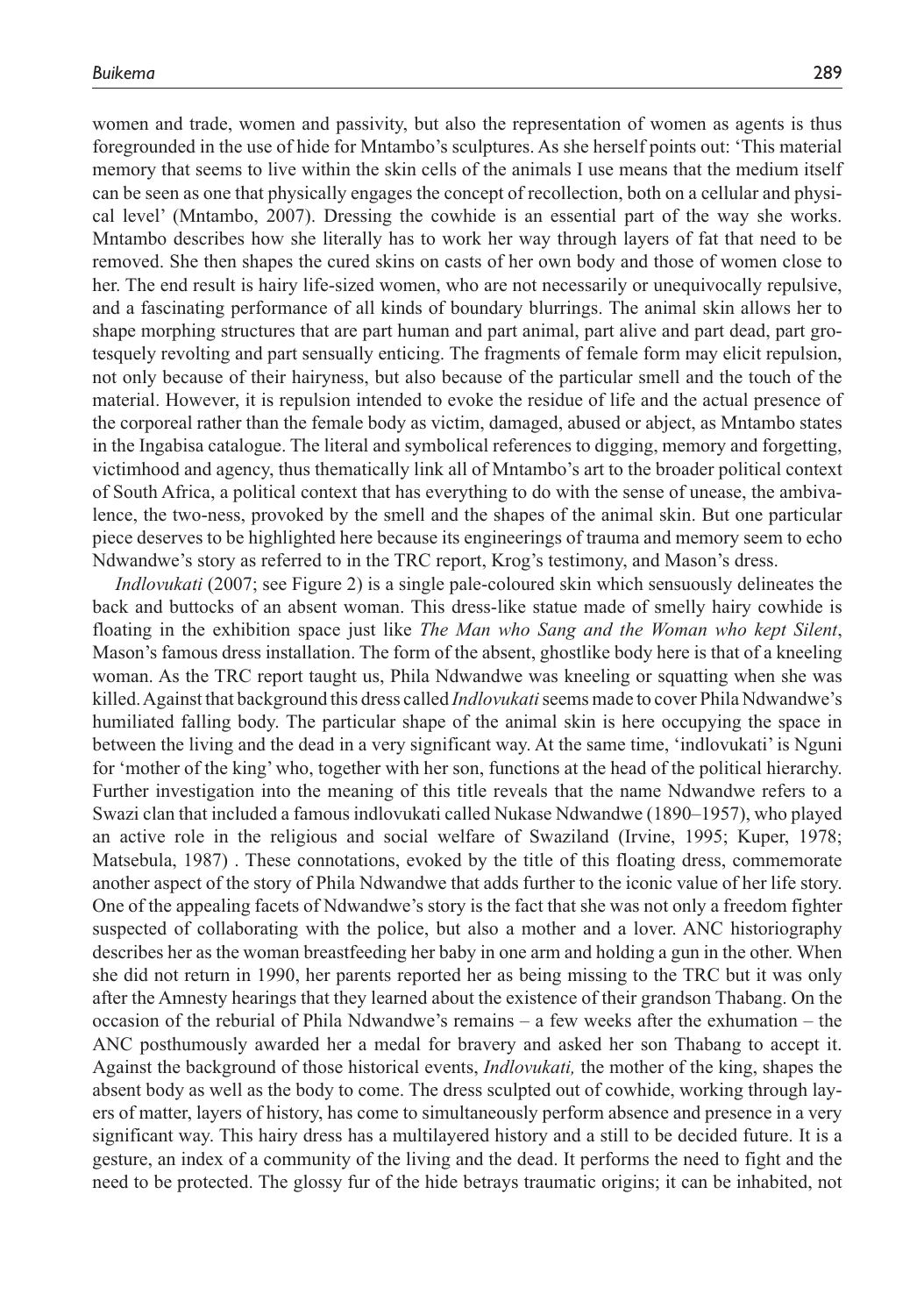women and trade, women and passivity, but also the representation of women as agents is thus foregrounded in the use of hide for Mntambo's sculptures. As she herself points out: 'This material memory that seems to live within the skin cells of the animals I use means that the medium itself can be seen as one that physically engages the concept of recollection, both on a cellular and physical level' (Mntambo, 2007). Dressing the cowhide is an essential part of the way she works. Mntambo describes how she literally has to work her way through layers of fat that need to be removed. She then shapes the cured skins on casts of her own body and those of women close to her. The end result is hairy life-sized women, who are not necessarily or unequivocally repulsive, and a fascinating performance of all kinds of boundary blurrings. The animal skin allows her to shape morphing structures that are part human and part animal, part alive and part dead, part grotesquely revolting and part sensually enticing. The fragments of female form may elicit repulsion, not only because of their hairyness, but also because of the particular smell and the touch of the material. However, it is repulsion intended to evoke the residue of life and the actual presence of the corporeal rather than the female body as victim, damaged, abused or abject, as Mntambo states in the Ingabisa catalogue. The literal and symbolical references to digging, memory and forgetting, victimhood and agency, thus thematically link all of Mntambo's art to the broader political context of South Africa, a political context that has everything to do with the sense of unease, the ambivalence, the two-ness, provoked by the smell and the shapes of the animal skin. But one particular piece deserves to be highlighted here because its engineerings of trauma and memory seem to echo Ndwandwe's story as referred to in the TRC report, Krog's testimony, and Mason's dress.

*Indlovukati* (2007; see Figure 2) is a single pale-coloured skin which sensuously delineates the back and buttocks of an absent woman. This dress-like statue made of smelly hairy cowhide is floating in the exhibition space just like *The Man who Sang and the Woman who kept Silent*, Mason's famous dress installation. The form of the absent, ghostlike body here is that of a kneeling woman. As the TRC report taught us, Phila Ndwandwe was kneeling or squatting when she was killed. Against that background this dress called *Indlovukati* seems made to cover Phila Ndwandwe's humiliated falling body. The particular shape of the animal skin is here occupying the space in between the living and the dead in a very significant way. At the same time, 'indlovukati' is Nguni for 'mother of the king' who, together with her son, functions at the head of the political hierarchy. Further investigation into the meaning of this title reveals that the name Ndwandwe refers to a Swazi clan that included a famous indlovukati called Nukase Ndwandwe (1890–1957), who played an active role in the religious and social welfare of Swaziland (Irvine, 1995; Kuper, 1978; Matsebula, 1987) . These connotations, evoked by the title of this floating dress, commemorate another aspect of the story of Phila Ndwandwe that adds further to the iconic value of her life story. One of the appealing facets of Ndwandwe's story is the fact that she was not only a freedom fighter suspected of collaborating with the police, but also a mother and a lover. ANC historiography describes her as the woman breastfeeding her baby in one arm and holding a gun in the other. When she did not return in 1990, her parents reported her as being missing to the TRC but it was only after the Amnesty hearings that they learned about the existence of their grandson Thabang. On the occasion of the reburial of Phila Ndwandwe's remains – a few weeks after the exhumation – the ANC posthumously awarded her a medal for bravery and asked her son Thabang to accept it. Against the background of those historical events, *Indlovukati,* the mother of the king, shapes the absent body as well as the body to come. The dress sculpted out of cowhide, working through layers of matter, layers of history, has come to simultaneously perform absence and presence in a very significant way. This hairy dress has a multilayered history and a still to be decided future. It is a gesture, an index of a community of the living and the dead. It performs the need to fight and the need to be protected. The glossy fur of the hide betrays traumatic origins; it can be inhabited, not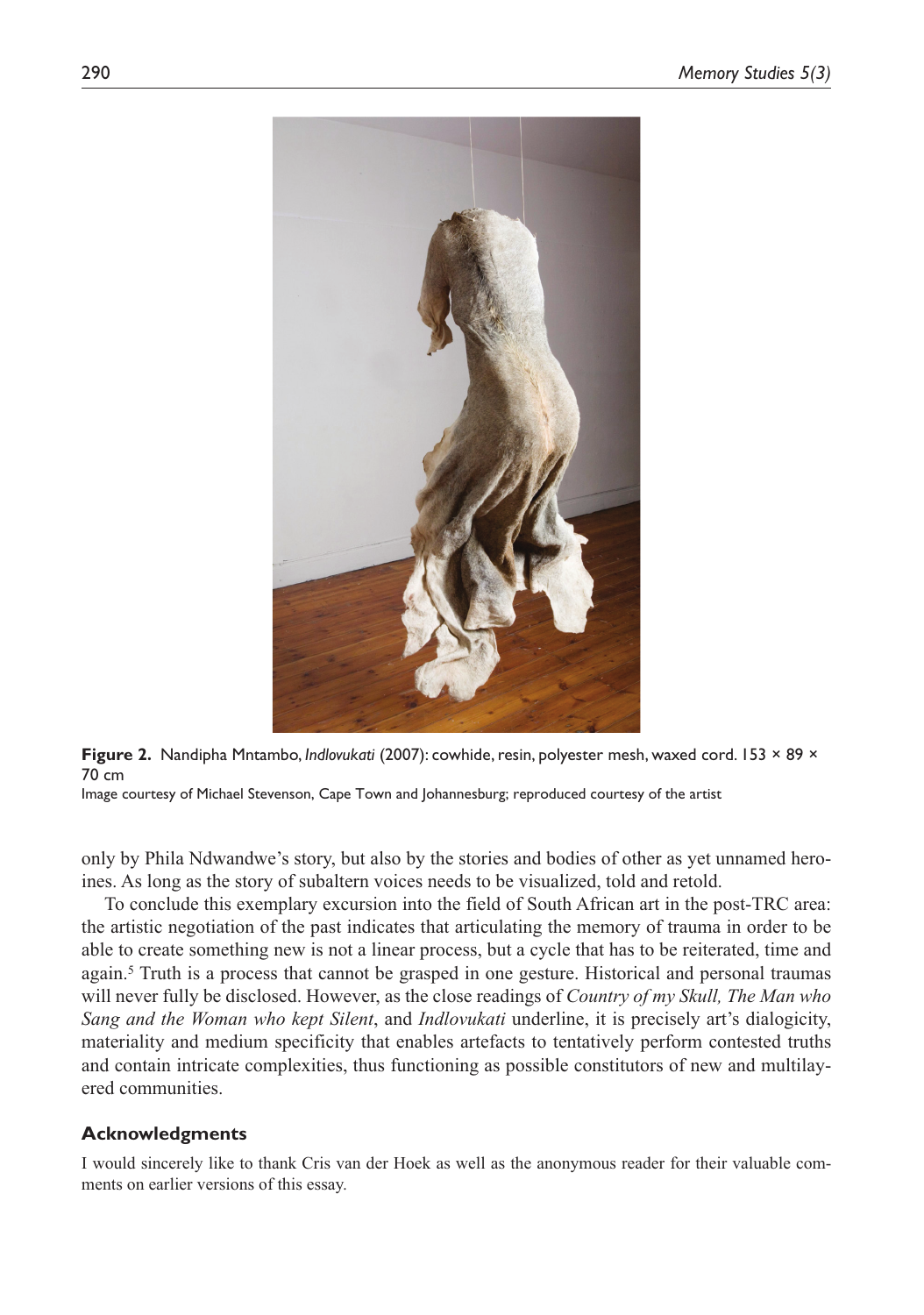



Image courtesy of Michael Stevenson, Cape Town and Johannesburg; reproduced courtesy of the artist

only by Phila Ndwandwe's story, but also by the stories and bodies of other as yet unnamed heroines. As long as the story of subaltern voices needs to be visualized, told and retold.

To conclude this exemplary excursion into the field of South African art in the post-TRC area: the artistic negotiation of the past indicates that articulating the memory of trauma in order to be able to create something new is not a linear process, but a cycle that has to be reiterated, time and again.5 Truth is a process that cannot be grasped in one gesture. Historical and personal traumas will never fully be disclosed. However, as the close readings of *Country of my Skull, The Man who Sang and the Woman who kept Silent*, and *Indlovukati* underline, it is precisely art's dialogicity, materiality and medium specificity that enables artefacts to tentatively perform contested truths and contain intricate complexities, thus functioning as possible constitutors of new and multilayered communities.

## **Acknowledgments**

I would sincerely like to thank Cris van der Hoek as well as the anonymous reader for their valuable comments on earlier versions of this essay.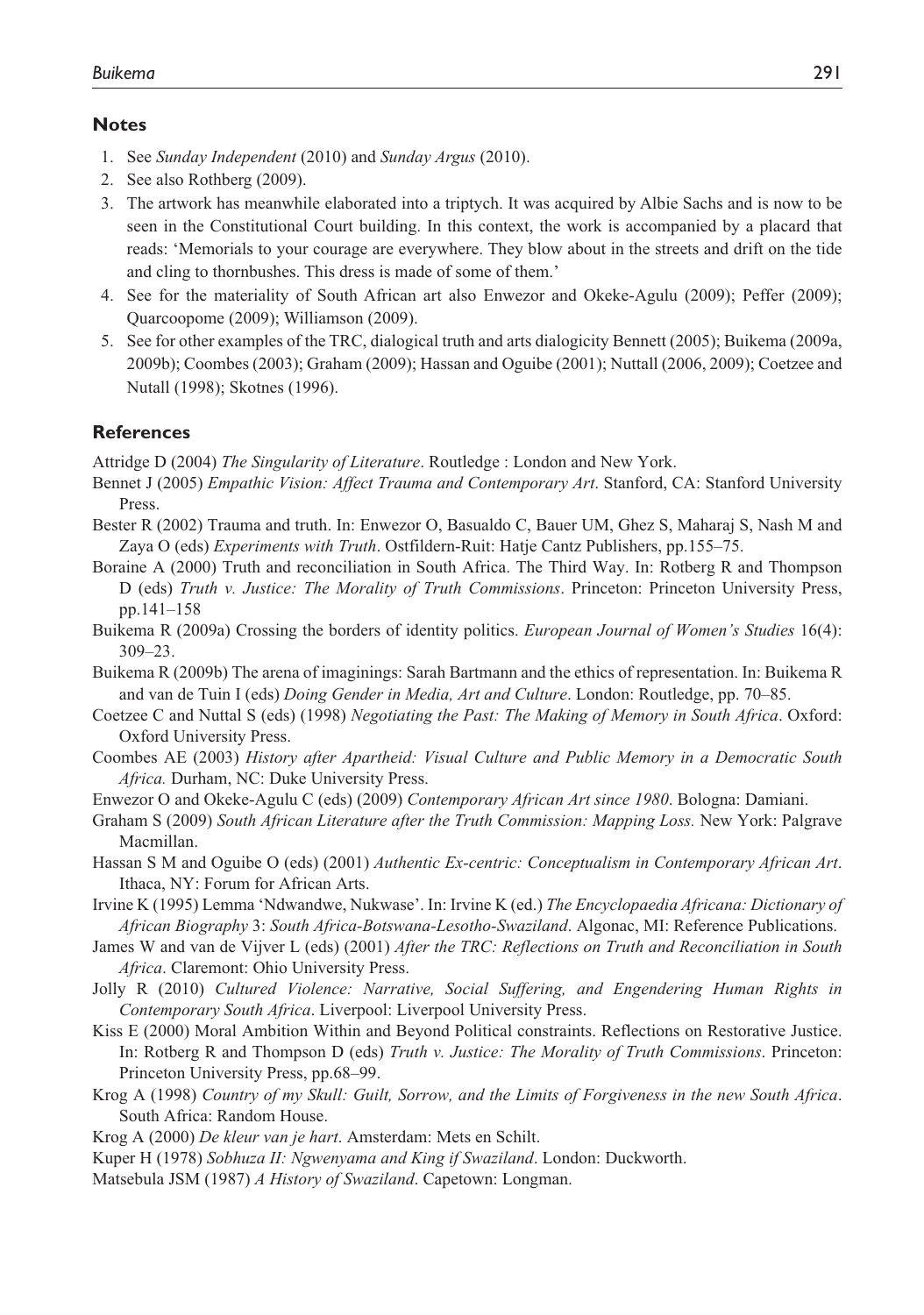# **Notes**

- 1. See *Sunday Independent* (2010) and *Sunday Argus* (2010).
- 2. See also Rothberg (2009).
- 3. The artwork has meanwhile elaborated into a triptych. It was acquired by Albie Sachs and is now to be seen in the Constitutional Court building. In this context, the work is accompanied by a placard that reads: 'Memorials to your courage are everywhere. They blow about in the streets and drift on the tide and cling to thornbushes. This dress is made of some of them.'
- 4. See for the materiality of South African art also Enwezor and Okeke-Agulu (2009); Peffer (2009); Quarcoopome (2009); Williamson (2009).
- 5. See for other examples of the TRC, dialogical truth and arts dialogicity Bennett (2005); Buikema (2009a, 2009b); Coombes (2003); Graham (2009); Hassan and Oguibe (2001); Nuttall (2006, 2009); Coetzee and Nutall (1998); Skotnes (1996).

# **References**

Attridge D (2004) *The Singularity of Literature*. Routledge : London and New York.

- Bennet J (2005) *Empathic Vision: Affect Trauma and Contemporary Art*. Stanford, CA: Stanford University Press.
- Bester R (2002) Trauma and truth. In: Enwezor O, Basualdo C, Bauer UM, Ghez S, Maharaj S, Nash M and Zaya O (eds) *Experiments with Truth*. Ostfildern-Ruit: Hatje Cantz Publishers, pp.155–75.
- Boraine A (2000) Truth and reconciliation in South Africa. The Third Way. In: Rotberg R and Thompson D (eds) *Truth v. Justice: The Morality of Truth Commissions*. Princeton: Princeton University Press, pp.141–158
- Buikema R (2009a) Crossing the borders of identity politics. *European Journal of Women's Studies* 16(4): 309–23.
- Buikema R (2009b) The arena of imaginings: Sarah Bartmann and the ethics of representation. In: Buikema R and van de Tuin I (eds) *Doing Gender in Media, Art and Culture*. London: Routledge, pp. 70–85.
- Coetzee C and Nuttal S (eds) (1998) *Negotiating the Past: The Making of Memory in South Africa*. Oxford: Oxford University Press.
- Coombes AE (2003) *History after Apartheid: Visual Culture and Public Memory in a Democratic South Africa.* Durham, NC: Duke University Press.
- Enwezor O and Okeke-Agulu C (eds) (2009) *Contemporary African Art since 1980*. Bologna: Damiani.
- Graham S (2009) *South African Literature after the Truth Commission: Mapping Loss.* New York: Palgrave Macmillan.
- Hassan S M and Oguibe O (eds) (2001) *Authentic Ex-centric: Conceptualism in Contemporary African Art*. Ithaca, NY: Forum for African Arts.
- Irvine K (1995) Lemma 'Ndwandwe, Nukwase'. In: Irvine K (ed.) *The Encyclopaedia Africana: Dictionary of African Biography* 3: *South Africa-Botswana-Lesotho-Swaziland*. Algonac, MI: Reference Publications.
- James W and van de Vijver L (eds) (2001) *After the TRC: Reflections on Truth and Reconciliation in South Africa*. Claremont: Ohio University Press.
- Jolly R (2010) *Cultured Violence: Narrative, Social Suffering, and Engendering Human Rights in Contemporary South Africa*. Liverpool: Liverpool University Press.
- Kiss E (2000) Moral Ambition Within and Beyond Political constraints. Reflections on Restorative Justice. In: Rotberg R and Thompson D (eds) *Truth v. Justice: The Morality of Truth Commissions*. Princeton: Princeton University Press, pp.68–99.
- Krog A (1998) *Country of my Skull: Guilt, Sorrow, and the Limits of Forgiveness in the new South Africa*. South Africa: Random House.
- Krog A (2000) *De kleur van je hart*. Amsterdam: Mets en Schilt.
- Kuper H (1978) *Sobhuza II: Ngwenyama and King if Swaziland*. London: Duckworth.
- Matsebula JSM (1987) *A History of Swaziland*. Capetown: Longman.